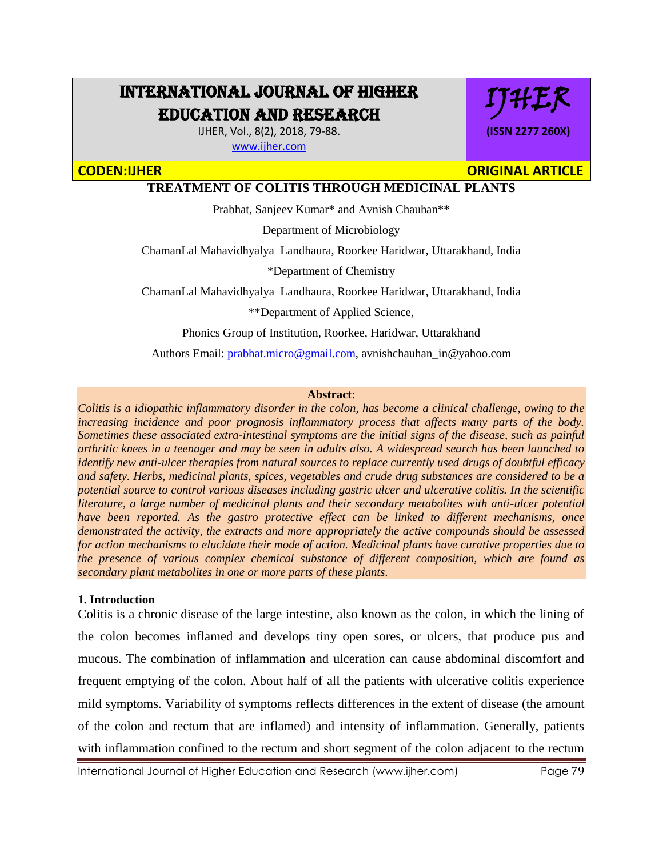# INTERNATIONAL JOURNAL OF HIGHER EDUCATION AND RESEARCH

IJHER, Vol., 8(2), 2018, 79-88. [www.ijher.com](http://www.ijher.com/)

IJHER **(ISSN 2277 260X)**

## **CODEN:IJHER ORIGINAL ARTICLE**

## **TREATMENT OF COLITIS THROUGH MEDICINAL PLANTS**

Prabhat, Sanjeev Kumar\* and Avnish Chauhan\*\*

Department of Microbiology

ChamanLal Mahavidhyalya Landhaura, Roorkee Haridwar, Uttarakhand, India

\*Department of Chemistry

ChamanLal Mahavidhyalya Landhaura, Roorkee Haridwar, Uttarakhand, India

\*\*Department of Applied Science,

Phonics Group of Institution, Roorkee, Haridwar, Uttarakhand

Authors Email: [prabhat.micro@gmail.com,](mailto:prabhat.micro@gmail.com) avnishchauhan\_in@yahoo.com

### **Abstract**:

*Colitis is a idiopathic inflammatory disorder in the colon, has become a clinical challenge, owing to the increasing incidence and poor prognosis inflammatory process that affects many parts of the body. Sometimes these associated extra-intestinal symptoms are the initial signs of the disease, such as painful arthritic knees in a teenager and may be seen in adults also. A widespread search has been launched to identify new anti-ulcer therapies from natural sources to replace currently used drugs of doubtful efficacy and safety. Herbs, medicinal plants, spices, vegetables and crude drug substances are considered to be a potential source to control various diseases including gastric ulcer and ulcerative colitis. In the scientific literature, a large number of medicinal plants and their secondary metabolites with anti-ulcer potential have been reported. As the gastro protective effect can be linked to different mechanisms, once demonstrated the activity, the extracts and more appropriately the active compounds should be assessed for action mechanisms to elucidate their mode of action. Medicinal plants have curative properties due to the presence of various complex chemical substance of different composition, which are found as secondary plant metabolites in one or more parts of these plants.*

### **1. Introduction**

Colitis is a chronic disease of the large intestine, also known as the colon, in which the lining of the colon becomes inflamed and develops tiny open sores, or ulcers, that produce pus and mucous. The combination of inflammation and ulceration can cause abdominal discomfort and frequent emptying of the colon. About half of all the patients with ulcerative colitis experience mild symptoms. Variability of symptoms reflects differences in the extent of disease (the amount of the colon and rectum that are inflamed) and intensity of inflammation. Generally, patients with inflammation confined to the rectum and short segment of the colon adjacent to the rectum

International Journal of Higher Education and Research (www.ijher.com) Page 79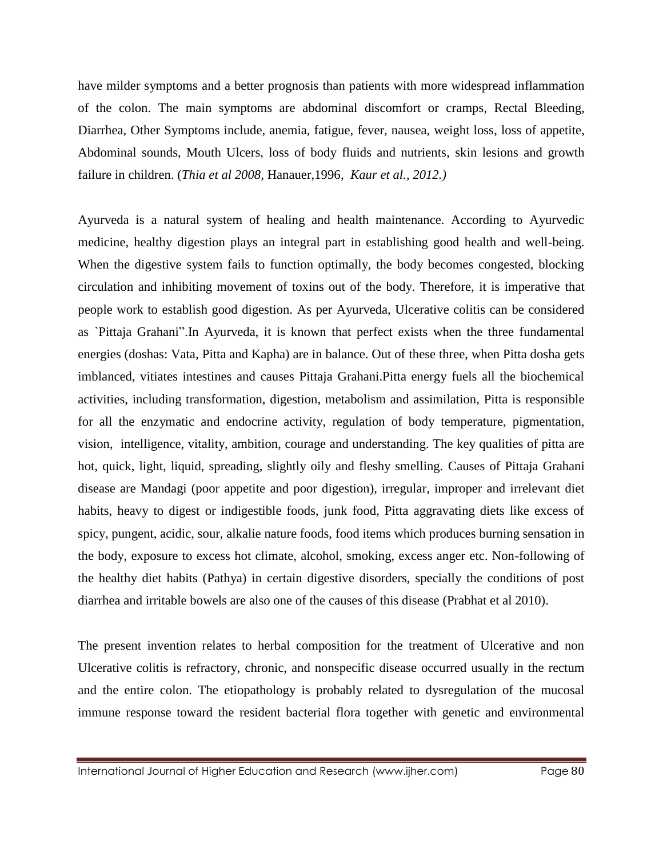have milder symptoms and a better prognosis than patients with more widespread inflammation of the colon. The main symptoms are abdominal discomfort or cramps, Rectal Bleeding, Diarrhea, Other Symptoms include, anemia, fatigue, fever, nausea, weight loss, loss of appetite, Abdominal sounds, Mouth Ulcers, loss of body fluids and nutrients, skin lesions and growth failure in children. (*Thia et al 2008,* Hanauer,1996, *Kaur et al., 2012.)* 

Ayurveda is a natural system of healing and health maintenance. According to Ayurvedic medicine, healthy digestion plays an integral part in establishing good health and well-being. When the digestive system fails to function optimally, the body becomes congested, blocking circulation and inhibiting movement of toxins out of the body. Therefore, it is imperative that people work to establish good digestion. As per Ayurveda, Ulcerative colitis can be considered as `Pittaja Grahani".In Ayurveda, it is known that perfect exists when the three fundamental energies (doshas: Vata, Pitta and Kapha) are in balance. Out of these three, when Pitta dosha gets imblanced, vitiates intestines and causes Pittaja Grahani.Pitta energy fuels all the biochemical activities, including transformation, digestion, metabolism and assimilation, Pitta is responsible for all the enzymatic and endocrine activity, regulation of body temperature, pigmentation, vision, intelligence, vitality, ambition, courage and understanding. The key qualities of pitta are hot, quick, light, liquid, spreading, slightly oily and fleshy smelling. Causes of Pittaja Grahani disease are Mandagi (poor appetite and poor digestion), irregular, improper and irrelevant diet habits, heavy to digest or indigestible foods, junk food, Pitta aggravating diets like excess of spicy, pungent, acidic, sour, alkalie nature foods, food items which produces burning sensation in the body, exposure to excess hot climate, alcohol, smoking, excess anger etc. Non-following of the healthy diet habits (Pathya) in certain digestive disorders, specially the conditions of post diarrhea and irritable bowels are also one of the causes of this disease (Prabhat et al 2010).

The present invention relates to herbal composition for the treatment of Ulcerative and non Ulcerative colitis is refractory, chronic, and nonspecific disease occurred usually in the rectum and the entire colon. The etiopathology is probably related to dysregulation of the mucosal immune response toward the resident bacterial flora together with genetic and environmental

International Journal of Higher Education and Research (www.ijher.com) Page 80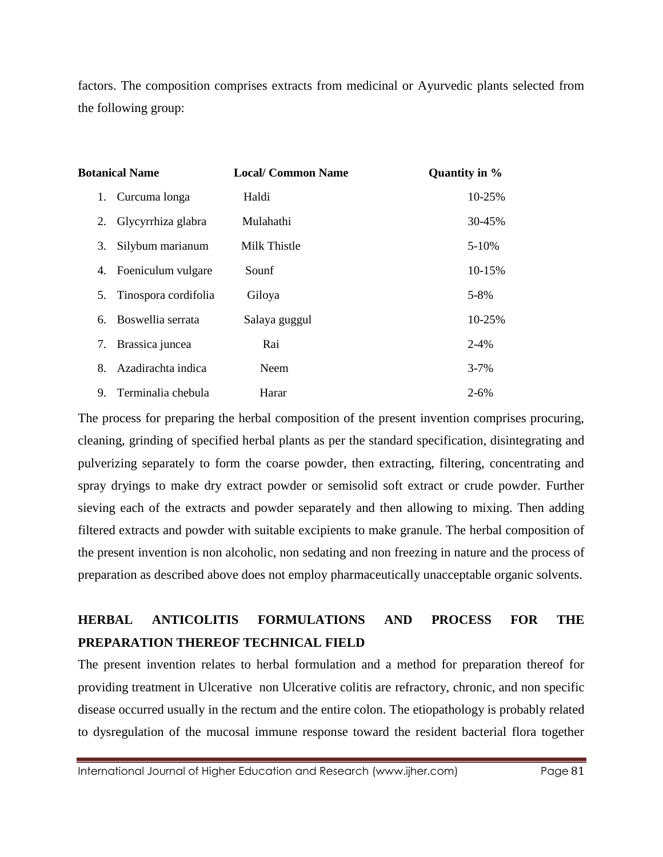factors. The composition comprises extracts from medicinal or Ayurvedic plants selected from the following group:

| <b>Botanical Name</b> |                      | <b>Local/ Common Name</b> | Quantity in % |
|-----------------------|----------------------|---------------------------|---------------|
| 1.                    | Curcuma longa        | Haldi                     | 10-25%        |
| 2.                    | Glycyrrhiza glabra   | Mulahathi                 | 30-45%        |
| 3.                    | Silybum marianum     | Milk Thistle              | $5 - 10%$     |
| 4.                    | Foeniculum vulgare   | Sounf                     | 10-15%        |
| 5.                    | Tinospora cordifolia | Giloya                    | 5-8%          |
| 6.                    | Boswellia serrata    | Salaya guggul             | 10-25%        |
| 7.                    | Brassica juncea      | Rai                       | $2 - 4\%$     |
| 8.                    | Azadirachta indica   | <b>Neem</b>               | $3 - 7%$      |
| 9.                    | Terminalia chebula   | Harar                     | $2 - 6\%$     |

The process for preparing the herbal composition of the present invention comprises procuring, cleaning, grinding of specified herbal plants as per the standard specification, disintegrating and pulverizing separately to form the coarse powder, then extracting, filtering, concentrating and spray dryings to make dry extract powder or semisolid soft extract or crude powder. Further sieving each of the extracts and powder separately and then allowing to mixing. Then adding filtered extracts and powder with suitable excipients to make granule. The herbal composition of the present invention is non alcoholic, non sedating and non freezing in nature and the process of preparation as described above does not employ pharmaceutically unacceptable organic solvents.

# **HERBAL ANTICOLITIS FORMULATIONS AND PROCESS FOR THE PREPARATION THEREOF TECHNICAL FIELD**

The present invention relates to herbal formulation and a method for preparation thereof for providing treatment in Ulcerative non Ulcerative colitis are refractory, chronic, and non specific disease occurred usually in the rectum and the entire colon. The etiopathology is probably related to dysregulation of the mucosal immune response toward the resident bacterial flora together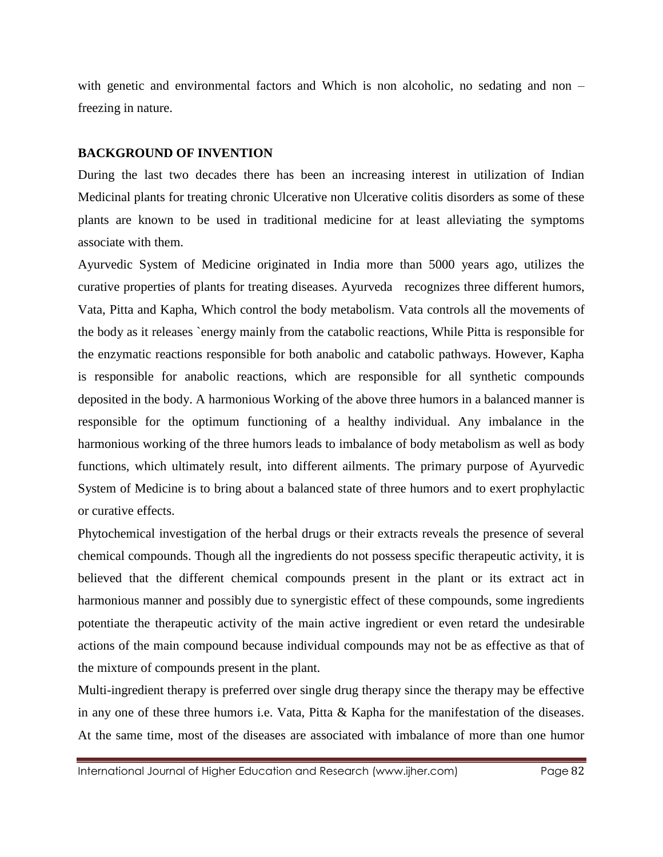with genetic and environmental factors and Which is non alcoholic, no sedating and non – freezing in nature.

#### **BACKGROUND OF INVENTION**

During the last two decades there has been an increasing interest in utilization of Indian Medicinal plants for treating chronic Ulcerative non Ulcerative colitis disorders as some of these plants are known to be used in traditional medicine for at least alleviating the symptoms associate with them.

Ayurvedic System of Medicine originated in India more than 5000 years ago, utilizes the curative properties of plants for treating diseases. Ayurveda recognizes three different humors, Vata, Pitta and Kapha, Which control the body metabolism. Vata controls all the movements of the body as it releases `energy mainly from the catabolic reactions, While Pitta is responsible for the enzymatic reactions responsible for both anabolic and catabolic pathways. However, Kapha is responsible for anabolic reactions, which are responsible for all synthetic compounds deposited in the body. A harmonious Working of the above three humors in a balanced manner is responsible for the optimum functioning of a healthy individual. Any imbalance in the harmonious working of the three humors leads to imbalance of body metabolism as well as body functions, which ultimately result, into different ailments. The primary purpose of Ayurvedic System of Medicine is to bring about a balanced state of three humors and to exert prophylactic or curative effects.

Phytochemical investigation of the herbal drugs or their extracts reveals the presence of several chemical compounds. Though all the ingredients do not possess specific therapeutic activity, it is believed that the different chemical compounds present in the plant or its extract act in harmonious manner and possibly due to synergistic effect of these compounds, some ingredients potentiate the therapeutic activity of the main active ingredient or even retard the undesirable actions of the main compound because individual compounds may not be as effective as that of the mixture of compounds present in the plant.

Multi-ingredient therapy is preferred over single drug therapy since the therapy may be effective in any one of these three humors i.e. Vata, Pitta & Kapha for the manifestation of the diseases. At the same time, most of the diseases are associated with imbalance of more than one humor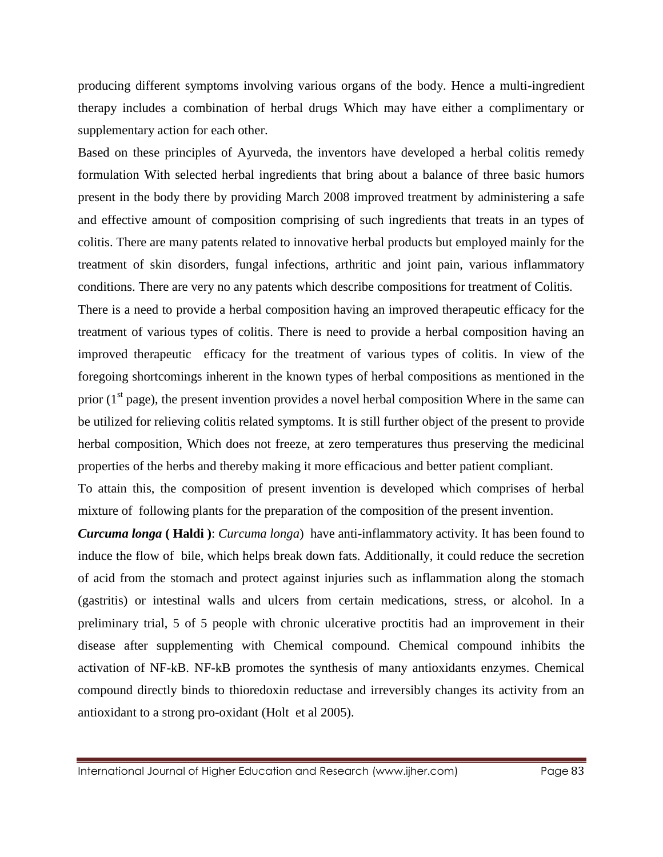producing different symptoms involving various organs of the body. Hence a multi-ingredient therapy includes a combination of herbal drugs Which may have either a complimentary or supplementary action for each other.

Based on these principles of Ayurveda, the inventors have developed a herbal colitis remedy formulation With selected herbal ingredients that bring about a balance of three basic humors present in the body there by providing March 2008 improved treatment by administering a safe and effective amount of composition comprising of such ingredients that treats in an types of colitis. There are many patents related to innovative herbal products but employed mainly for the treatment of skin disorders, fungal infections, arthritic and joint pain, various inflammatory conditions. There are very no any patents which describe compositions for treatment of Colitis.

There is a need to provide a herbal composition having an improved therapeutic efficacy for the treatment of various types of colitis. There is need to provide a herbal composition having an improved therapeutic efficacy for the treatment of various types of colitis. In view of the foregoing shortcomings inherent in the known types of herbal compositions as mentioned in the prior  $(1<sup>st</sup> page)$ , the present invention provides a novel herbal composition Where in the same can be utilized for relieving colitis related symptoms. It is still further object of the present to provide herbal composition, Which does not freeze, at zero temperatures thus preserving the medicinal properties of the herbs and thereby making it more efficacious and better patient compliant.

To attain this, the composition of present invention is developed which comprises of herbal mixture of following plants for the preparation of the composition of the present invention.

*Curcuma longa* **( Haldi )**: *Curcuma longa*) have anti-inflammatory activity. It has been found to induce the flow of bile, which helps break down fats. Additionally, it could reduce the secretion of acid from the stomach and protect against injuries such as inflammation along the stomach (gastritis) or intestinal walls and ulcers from certain medications, stress, or alcohol. In a preliminary trial, 5 of 5 people with chronic ulcerative proctitis had an improvement in their disease after supplementing with Chemical compound. Chemical compound inhibits the activation of NF-kB. NF-kB promotes the synthesis of many antioxidants enzymes. Chemical compound directly binds to thioredoxin reductase and irreversibly changes its activity from an antioxidant to a strong pro-oxidant (Holt et al 2005).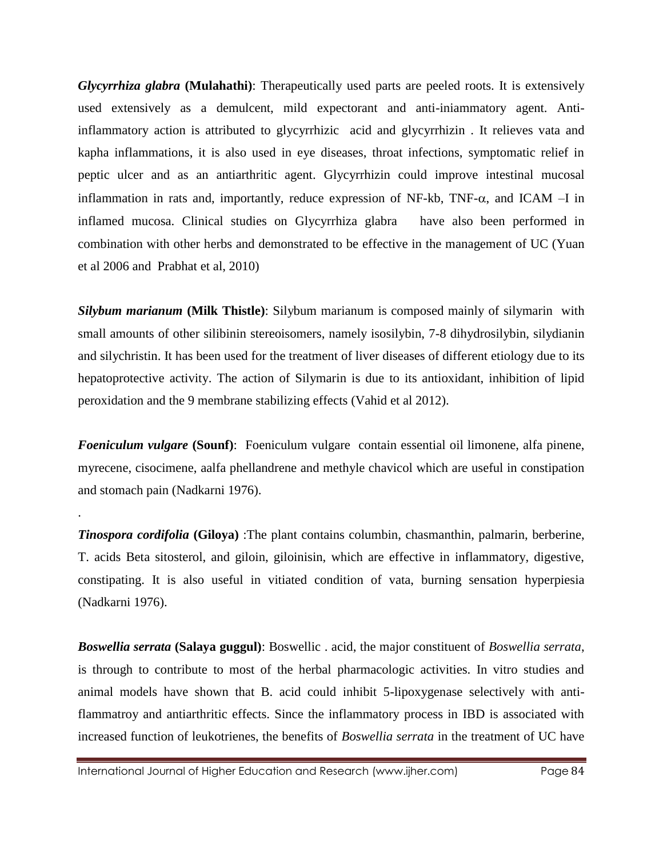*Glycyrrhiza glabra* **(Mulahathi)**: Therapeutically used parts are peeled roots. It is extensively used extensively as a demulcent, mild expectorant and anti-iniammatory agent. Antiinflammatory action is attributed to glycyrrhizic acid and glycyrrhizin . It relieves vata and kapha inflammations, it is also used in eye diseases, throat infections, symptomatic relief in peptic ulcer and as an antiarthritic agent. Glycyrrhizin could improve intestinal mucosal inflammation in rats and, importantly, reduce expression of NF-kb, TNF- $\alpha$ , and ICAM –I in inflamed mucosa. Clinical studies on Glycyrrhiza glabra have also been performed in combination with other herbs and demonstrated to be effective in the management of UC (Yuan et al 2006 and Prabhat et al, 2010)

*Silybum marianum* **(Milk Thistle)**: Silybum marianum is composed mainly of silymarin with small amounts of other silibinin stereoisomers, namely isosilybin, 7-8 dihydrosilybin, silydianin and silychristin. It has been used for the treatment of liver diseases of different etiology due to its hepatoprotective activity. The action of Silymarin is due to its antioxidant, inhibition of lipid peroxidation and the 9 membrane stabilizing effects (Vahid et al 2012).

*Foeniculum vulgare* **(Sounf)**: Foeniculum vulgare contain essential oil limonene, alfa pinene, myrecene, cisocimene, aalfa phellandrene and methyle chavicol which are useful in constipation and stomach pain (Nadkarni 1976).

*Tinospora cordifolia* **(Giloya)** :The plant contains columbin, chasmanthin, palmarin, berberine, T. acids Beta sitosterol, and giloin, giloinisin, which are effective in inflammatory, digestive, constipating. It is also useful in vitiated condition of vata, burning sensation hyperpiesia (Nadkarni 1976).

*Boswellia serrata* **(Salaya guggul)**: Boswellic . acid, the major constituent of *Boswellia serrata*, is through to contribute to most of the herbal pharmacologic activities. In vitro studies and animal models have shown that B. acid could inhibit 5-lipoxygenase selectively with antiflammatroy and antiarthritic effects. Since the inflammatory process in IBD is associated with increased function of leukotrienes, the benefits of *Boswellia serrata* in the treatment of UC have

International Journal of Higher Education and Research (www.ijher.com) Page 84

.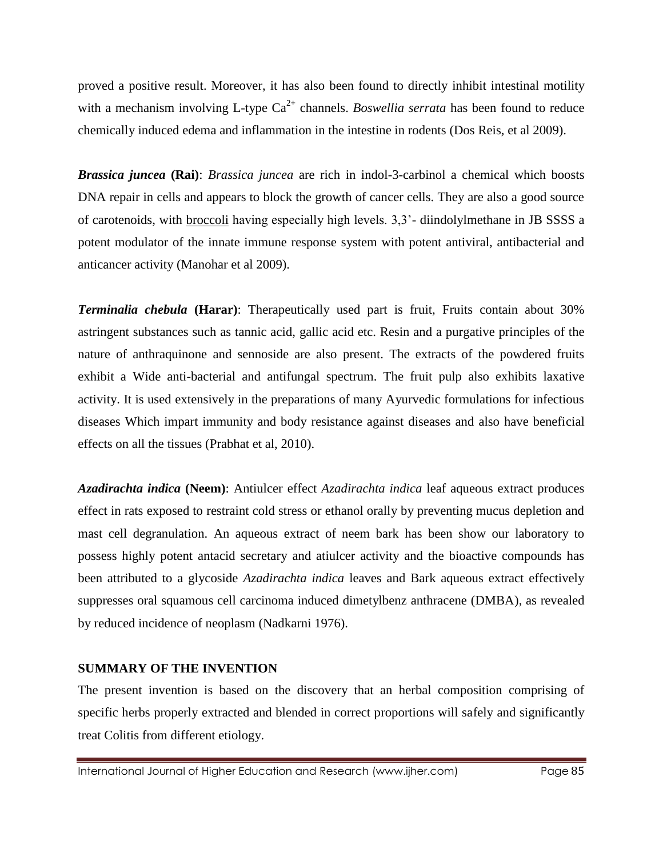proved a positive result. Moreover, it has also been found to directly inhibit intestinal motility with a mechanism involving L-type  $Ca^{2+}$  channels. *Boswellia serrata* has been found to reduce chemically induced edema and inflammation in the intestine in rodents (Dos Reis, et al 2009).

*Brassica juncea* **(Rai)**: *Brassica juncea* are rich in indol-3-carbinol a chemical which boosts DNA repair in cells and appears to block the growth of cancer cells. They are also a good source of carotenoids, with broccoli having especially high levels. 3,3'- diindolylmethane in JB SSSS a potent modulator of the innate immune response system with potent antiviral, antibacterial and anticancer activity (Manohar et al 2009).

*Terminalia chebula* **(Harar)**: Therapeutically used part is fruit, Fruits contain about 30% astringent substances such as tannic acid, gallic acid etc. Resin and a purgative principles of the nature of anthraquinone and sennoside are also present. The extracts of the powdered fruits exhibit a Wide anti-bacterial and antifungal spectrum. The fruit pulp also exhibits laxative activity. It is used extensively in the preparations of many Ayurvedic formulations for infectious diseases Which impart immunity and body resistance against diseases and also have beneficial effects on all the tissues (Prabhat et al, 2010).

*Azadirachta indica* **(Neem)**: Antiulcer effect *Azadirachta indica* leaf aqueous extract produces effect in rats exposed to restraint cold stress or ethanol orally by preventing mucus depletion and mast cell degranulation. An aqueous extract of neem bark has been show our laboratory to possess highly potent antacid secretary and atiulcer activity and the bioactive compounds has been attributed to a glycoside *Azadirachta indica* leaves and Bark aqueous extract effectively suppresses oral squamous cell carcinoma induced dimetylbenz anthracene (DMBA), as revealed by reduced incidence of neoplasm (Nadkarni 1976).

### **SUMMARY OF THE INVENTION**

The present invention is based on the discovery that an herbal composition comprising of specific herbs properly extracted and blended in correct proportions will safely and significantly treat Colitis from different etiology.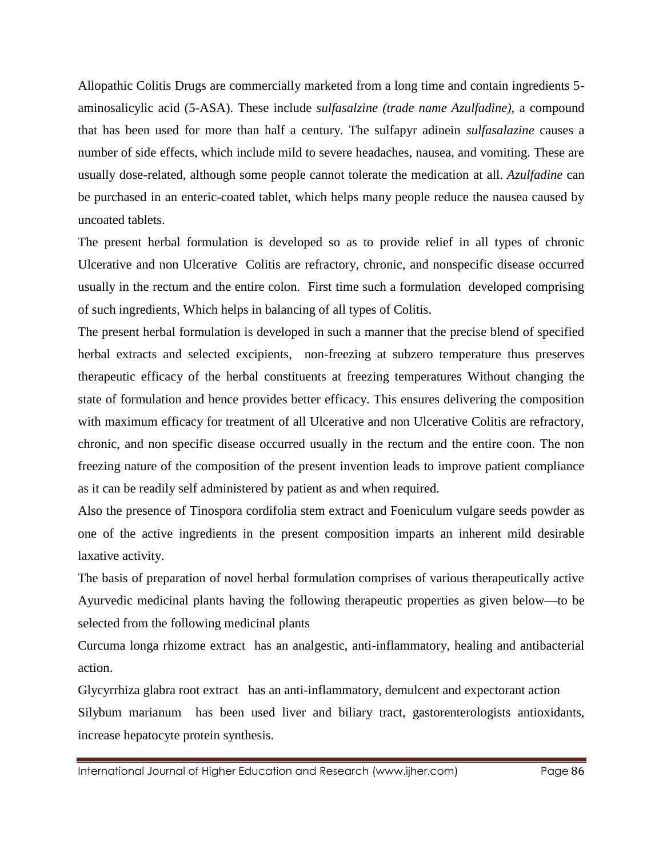Allopathic Colitis Drugs are commercially marketed from a long time and contain ingredients 5 aminosalicylic acid (5-ASA). These include *sulfasalzine (trade name Azulfadine),* a compound that has been used for more than half a century. The sulfapyr adinein *sulfasalazine* causes a number of side effects, which include mild to severe headaches, nausea, and vomiting. These are usually dose-related, although some people cannot tolerate the medication at all. *Azulfadine* can be purchased in an enteric-coated tablet, which helps many people reduce the nausea caused by uncoated tablets.

The present herbal formulation is developed so as to provide relief in all types of chronic Ulcerative and non Ulcerative Colitis are refractory, chronic, and nonspecific disease occurred usually in the rectum and the entire colon. First time such a formulation developed comprising of such ingredients, Which helps in balancing of all types of Colitis.

The present herbal formulation is developed in such a manner that the precise blend of specified herbal extracts and selected excipients, non-freezing at subzero temperature thus preserves therapeutic efficacy of the herbal constituents at freezing temperatures Without changing the state of formulation and hence provides better efficacy. This ensures delivering the composition with maximum efficacy for treatment of all Ulcerative and non Ulcerative Colitis are refractory, chronic, and non specific disease occurred usually in the rectum and the entire coon. The non freezing nature of the composition of the present invention leads to improve patient compliance as it can be readily self administered by patient as and when required.

Also the presence of Tinospora cordifolia stem extract and Foeniculum vulgare seeds powder as one of the active ingredients in the present composition imparts an inherent mild desirable laxative activity.

The basis of preparation of novel herbal formulation comprises of various therapeutically active Ayurvedic medicinal plants having the following therapeutic properties as given below—to be selected from the following medicinal plants

Curcuma longa rhizome extract has an analgestic, anti-inflammatory, healing and antibacterial action.

Glycyrrhiza glabra root extract has an anti-inflammatory, demulcent and expectorant action Silybum marianum has been used liver and biliary tract, gastorenterologists antioxidants, increase hepatocyte protein synthesis.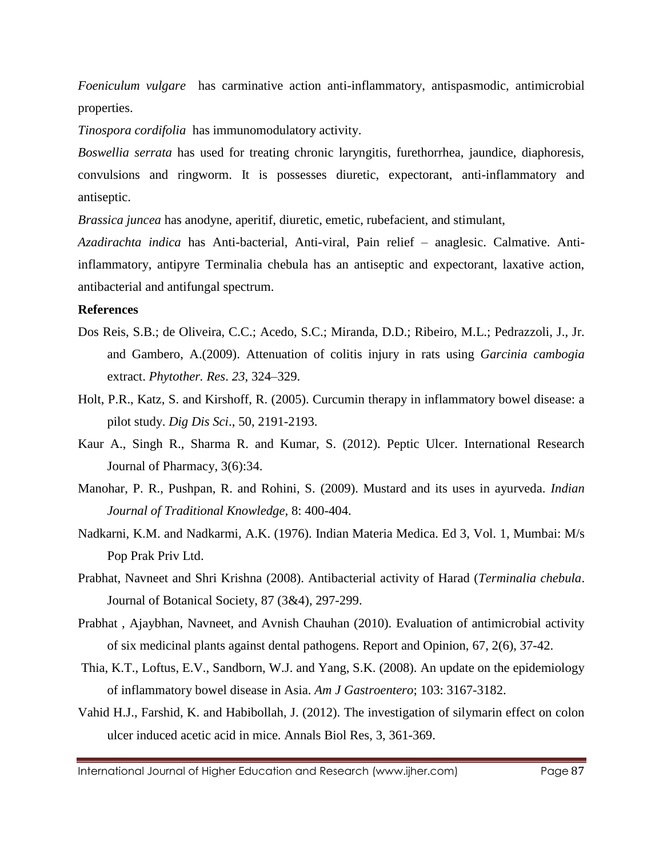*Foeniculum vulgare* has carminative action anti-inflammatory, antispasmodic, antimicrobial properties.

*Tinospora cordifolia* has immunomodulatory activity.

*Boswellia serrata* has used for treating chronic laryngitis, furethorrhea, jaundice, diaphoresis, convulsions and ringworm. It is possesses diuretic, expectorant, anti-inflammatory and antiseptic.

*Brassica juncea* has anodyne, aperitif, diuretic, emetic, rubefacient, and stimulant,

*Azadirachta indica* has Anti-bacterial, Anti-viral, Pain relief – anaglesic. Calmative. Antiinflammatory, antipyre Terminalia chebula has an antiseptic and expectorant, laxative action, antibacterial and antifungal spectrum.

#### **References**

- Dos Reis, S.B.; de Oliveira, C.C.; Acedo, S.C.; Miranda, D.D.; Ribeiro, M.L.; Pedrazzoli, J., Jr. and Gambero, A.(2009). Attenuation of colitis injury in rats using *Garcinia cambogia*  extract. *Phytother. Res*. *23*, 324–329.
- Holt, P.R., Katz, S. and Kirshoff, R. (2005). Curcumin therapy in inflammatory bowel disease: a pilot study. *Dig Dis Sci*., 50, 2191-2193.
- Kaur A., Singh R., Sharma R. and Kumar, S. (2012). Peptic Ulcer. International Research Journal of Pharmacy, 3(6):34.
- Manohar, P. R., Pushpan, R. and Rohini, S. (2009). Mustard and its uses in ayurveda. *Indian Journal of Traditional Knowledge,* 8: 400-404.
- Nadkarni, K.M. and Nadkarmi, A.K. (1976). Indian Materia Medica. Ed 3, Vol. 1, Mumbai: M/s Pop Prak Priv Ltd.
- Prabhat, Navneet and Shri Krishna (2008). Antibacterial activity of Harad (*Terminalia chebula*. Journal of Botanical Society, 87 (3&4), 297-299.
- Prabhat , Ajaybhan, Navneet, and Avnish Chauhan (2010). Evaluation of antimicrobial activity of six medicinal plants against dental pathogens. Report and Opinion, 67, 2(6), 37-42.
- Thia, K.T., Loftus, E.V., Sandborn, W.J. and Yang, S.K. (2008). An update on the epidemiology of inflammatory bowel disease in Asia. *Am J Gastroentero*; 103: 3167-3182.
- Vahid H.J., Farshid, K. and Habibollah, J. (2012). The investigation of silymarin effect on colon ulcer induced acetic acid in mice. Annals Biol Res, 3, 361-369.